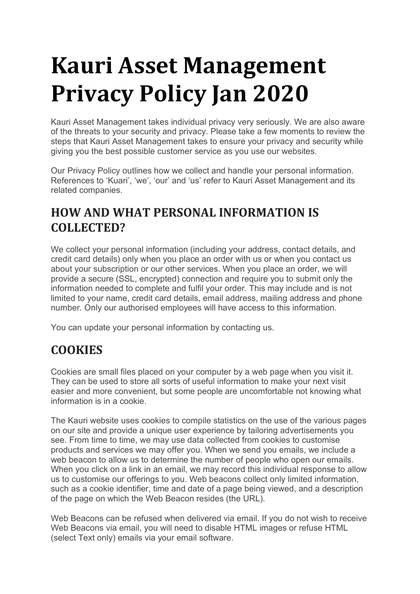# **Kauri Asset Management Privacy Policy Jan 2020**

Kauri Asset Management takes individual privacy very seriously. We are also aware of the threats to your security and privacy. Please take a few moments to review the steps that Kauri Asset Management takes to ensure your privacy and security while giving you the best possible customer service as you use our websites.

Our Privacy Policy outlines how we collect and handle your personal information. References to 'Kuari', 'we', 'our' and 'us' refer to Kauri Asset Management and its related companies.

## **HOW AND WHAT PERSONAL INFORMATION IS COLLECTED?**

We collect your personal information (including your address, contact details, and credit card details) only when you place an order with us or when you contact us about your subscription or our other services. When you place an order, we will provide a secure (SSL, encrypted) connection and require you to submit only the information needed to complete and fulfil your order. This may include and is not limited to your name, credit card details, email address, mailing address and phone number. Only our authorised employees will have access to this information.

You can update your personal information by contacting us.

# **COOKIES**

Cookies are small files placed on your computer by a web page when you visit it. They can be used to store all sorts of useful information to make your next visit easier and more convenient, but some people are uncomfortable not knowing what information is in a cookie.

The Kauri website uses cookies to compile statistics on the use of the various pages on our site and provide a unique user experience by tailoring advertisements you see. From time to time, we may use data collected from cookies to customise products and services we may offer you. When we send you emails, we include a web beacon to allow us to determine the number of people who open our emails. When you click on a link in an email, we may record this individual response to allow us to customise our offerings to you. Web beacons collect only limited information, such as a cookie identifier, time and date of a page being viewed, and a description of the page on which the Web Beacon resides (the URL).

Web Beacons can be refused when delivered via email. If you do not wish to receive Web Beacons via email, you will need to disable HTML images or refuse HTML (select Text only) emails via your email software.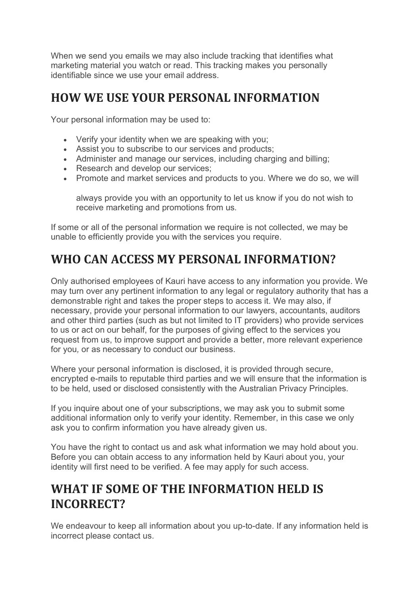When we send you emails we may also include tracking that identifies what marketing material you watch or read. This tracking makes you personally identifiable since we use your email address.

#### **HOW WE USE YOUR PERSONAL INFORMATION**

Your personal information may be used to:

- Verify your identity when we are speaking with you;
- Assist you to subscribe to our services and products;
- Administer and manage our services, including charging and billing;
- Research and develop our services;
- Promote and market services and products to you. Where we do so, we will

always provide you with an opportunity to let us know if you do not wish to receive marketing and promotions from us.

If some or all of the personal information we require is not collected, we may be unable to efficiently provide you with the services you require.

#### **WHO CAN ACCESS MY PERSONAL INFORMATION?**

Only authorised employees of Kauri have access to any information you provide. We may turn over any pertinent information to any legal or regulatory authority that has a demonstrable right and takes the proper steps to access it. We may also, if necessary, provide your personal information to our lawyers, accountants, auditors and other third parties (such as but not limited to IT providers) who provide services to us or act on our behalf, for the purposes of giving effect to the services you request from us, to improve support and provide a better, more relevant experience for you*,* or as necessary to conduct our business.

Where your personal information is disclosed, it is provided through secure, encrypted e-mails to reputable third parties and we will ensure that the information is to be held, used or disclosed consistently with the Australian Privacy Principles.

If you inquire about one of your subscriptions, we may ask you to submit some additional information only to verify your identity. Remember, in this case we only ask you to confirm information you have already given us.

You have the right to contact us and ask what information we may hold about you. Before you can obtain access to any information held by Kauri about you, your identity will first need to be verified. A fee may apply for such access.

## **WHAT IF SOME OF THE INFORMATION HELD IS INCORRECT?**

We endeavour to keep all information about you up-to-date. If any information held is incorrect please contact us.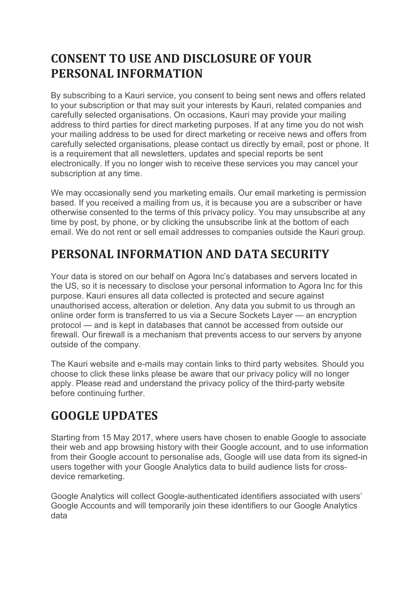## **CONSENT TO USE AND DISCLOSURE OF YOUR PERSONAL INFORMATION**

By subscribing to a Kauri service, you consent to being sent news and offers related to your subscription or that may suit your interests by Kauri, related companies and carefully selected organisations. On occasions, Kauri may provide your mailing address to third parties for direct marketing purposes. If at any time you do not wish your mailing address to be used for direct marketing or receive news and offers from carefully selected organisations, please contact us directly by email, post or phone. It is a requirement that all newsletters, updates and special reports be sent electronically. If you no longer wish to receive these services you may cancel your subscription at any time.

We may occasionally send you marketing emails. Our email marketing is permission based. If you received a mailing from us, it is because you are a subscriber or have otherwise consented to the terms of this privacy policy. You may unsubscribe at any time by post, by phone, or by clicking the unsubscribe link at the bottom of each email. We do not rent or sell email addresses to companies outside the Kauri group.

## **PERSONAL INFORMATION AND DATA SECURITY**

Your data is stored on our behalf on Agora Inc's databases and servers located in the US, so it is necessary to disclose your personal information to Agora Inc for this purpose. Kauri ensures all data collected is protected and secure against unauthorised access, alteration or deletion. Any data you submit to us through an online order form is transferred to us via a Secure Sockets Layer — an encryption protocol — and is kept in databases that cannot be accessed from outside our firewall. Our firewall is a mechanism that prevents access to our servers by anyone outside of the company.

The Kauri website and e-mails may contain links to third party websites. Should you choose to click these links please be aware that our privacy policy will no longer apply. Please read and understand the privacy policy of the third-party website before continuing further.

#### **GOOGLE UPDATES**

Starting from 15 May 2017, where users have chosen to enable Google to associate their web and app browsing history with their Google account, and to use information from their Google account to personalise ads, Google will use data from its signed-in users together with your Google Analytics data to build audience lists for crossdevice remarketing.

Google Analytics will collect Google-authenticated identifiers associated with users' Google Accounts and will temporarily join these identifiers to our Google Analytics data